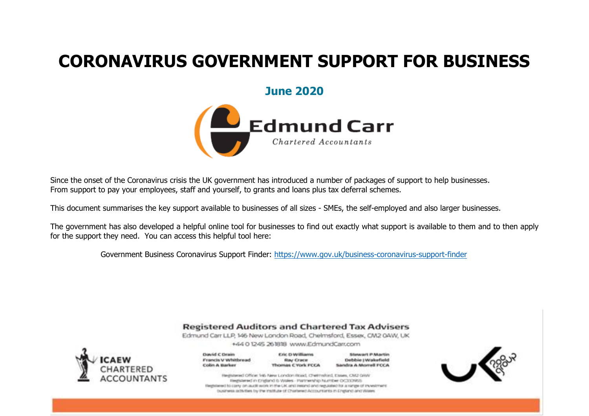### **June 2020**



Since the onset of the Coronavirus crisis the UK government has introduced a number of packages of support to help businesses. From support to pay your employees, staff and yourself, to grants and loans plus tax deferral schemes.

This document summarises the key support available to businesses of all sizes - SMEs, the self-employed and also larger businesses.

The government has also developed a helpful online tool for businesses to find out exactly what support is available to them and to then apply for the support they need. You can access this helpful tool here:

Government Business Coronavirus Support Finder:<https://www.gov.uk/business-coronavirus-support-finder>

#### **Registered Auditors and Chartered Tax Advisers**

Edmund Carr LLP, 146 New London Road, Chelmsford, Essex, CM2 0AW, UK +440 1245 261818 www.EdmundCarr.com



| <b>David C Drain</b> |  |
|----------------------|--|
| Francis V Whitbread  |  |
| Colin A Barker       |  |

**Eric D Williams** Ray Crace Thomas C York FCCA

Stewart P Martin Debbie (Walorfield Sandra A Morrell FCCA

Registered Office: M6 New London Road, Chelmsford, Essex, CM2 GWA Registered in England & Wales - Partnership Number OC333965 Registered to carry on audit work in the UK and instead and regulated for a ninge of investment. Explainance on the Bank by the Institute of Chairlened Accountaints in Criptanic and Wales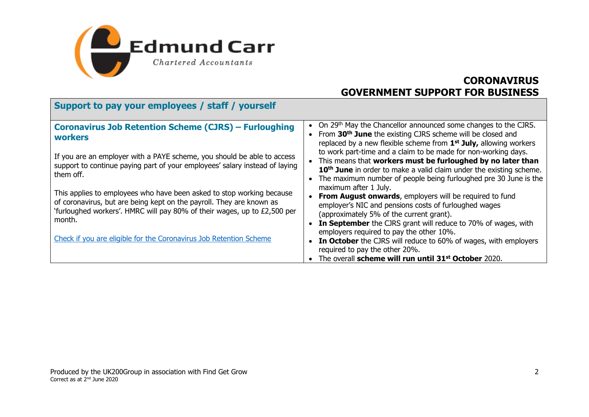

| Support to pay your employees / staff / yourself                                                                                                                                                                                    |                                                                                                                                                                                                                                                                                                           |
|-------------------------------------------------------------------------------------------------------------------------------------------------------------------------------------------------------------------------------------|-----------------------------------------------------------------------------------------------------------------------------------------------------------------------------------------------------------------------------------------------------------------------------------------------------------|
| <b>Coronavirus Job Retention Scheme (CJRS) - Furloughing</b><br>workers                                                                                                                                                             | On 29th May the Chancellor announced some changes to the CJRS.<br>From 30 <sup>th</sup> June the existing CJRS scheme will be closed and<br>replaced by a new flexible scheme from 1 <sup>st</sup> July, allowing workers                                                                                 |
| If you are an employer with a PAYE scheme, you should be able to access<br>support to continue paying part of your employees' salary instead of laying<br>them off.                                                                 | to work part-time and a claim to be made for non-working days.<br>This means that workers must be furloughed by no later than<br>10 <sup>th</sup> June in order to make a valid claim under the existing scheme.<br>The maximum number of people being furloughed pre 30 June is the                      |
| This applies to employees who have been asked to stop working because<br>of coronavirus, but are being kept on the payroll. They are known as<br>'furloughed workers'. HMRC will pay 80% of their wages, up to £2,500 per<br>month. | maximum after 1 July.<br><b>From August onwards, employers will be required to fund</b><br>employer's NIC and pensions costs of furloughed wages<br>(approximately 5% of the current grant).<br>In September the CJRS grant will reduce to 70% of wages, with<br>employers required to pay the other 10%. |
| Check if you are eligible for the Coronavirus Job Retention Scheme                                                                                                                                                                  | • In October the CJRS will reduce to 60% of wages, with employers<br>required to pay the other 20%.<br>The overall scheme will run until 31 <sup>st</sup> October 2020.                                                                                                                                   |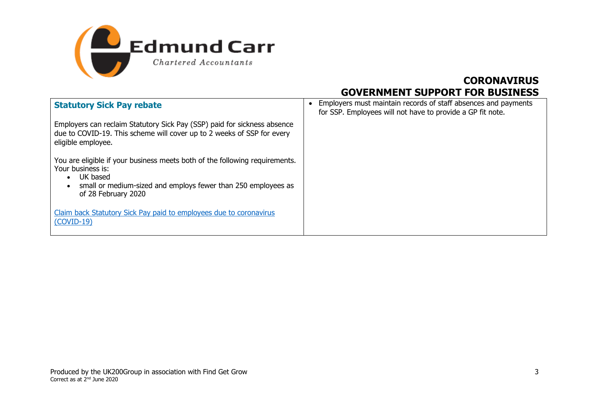

| <b>Statutory Sick Pay rebate</b>                                                                                                                                                                                               | Employers must maintain records of staff absences and payments<br>$\bullet$<br>for SSP. Employees will not have to provide a GP fit note. |
|--------------------------------------------------------------------------------------------------------------------------------------------------------------------------------------------------------------------------------|-------------------------------------------------------------------------------------------------------------------------------------------|
| Employers can reclaim Statutory Sick Pay (SSP) paid for sickness absence<br>due to COVID-19. This scheme will cover up to 2 weeks of SSP for every<br>eligible employee.                                                       |                                                                                                                                           |
| You are eligible if your business meets both of the following requirements.<br>Your business is:<br>UK based<br>$\bullet$<br>small or medium-sized and employs fewer than 250 employees as<br>$\bullet$<br>of 28 February 2020 |                                                                                                                                           |
| Claim back Statutory Sick Pay paid to employees due to coronavirus<br>$(COVID-19)$                                                                                                                                             |                                                                                                                                           |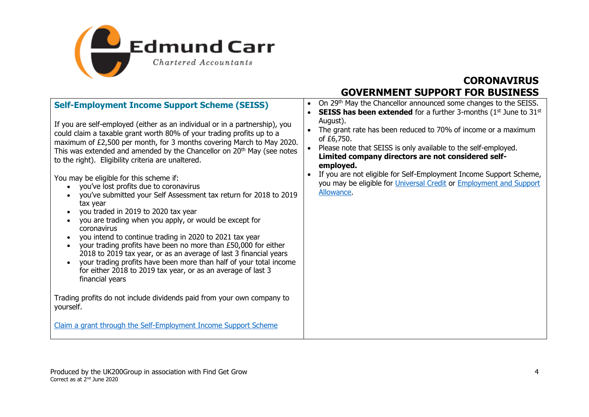

| <b>Self-Employment Income Support Scheme (SEISS)</b><br>If you are self-employed (either as an individual or in a partnership), you<br>could claim a taxable grant worth 80% of your trading profits up to a<br>maximum of £2,500 per month, for 3 months covering March to May 2020.<br>This was extended and amended by the Chancellor on 20 <sup>th</sup> May (see notes<br>to the right). Eligibility criteria are unaltered.                                                                                                                                                                                                                                       | On 29th May the Chancellor announced some changes to the SEISS.<br><b>SEISS has been extended</b> for a further 3-months ( $1st$ June to $31st$<br>August).<br>The grant rate has been reduced to 70% of income or a maximum<br>of £6,750.<br>Please note that SEISS is only available to the self-employed.<br>Limited company directors are not considered self-<br>employed. |
|-------------------------------------------------------------------------------------------------------------------------------------------------------------------------------------------------------------------------------------------------------------------------------------------------------------------------------------------------------------------------------------------------------------------------------------------------------------------------------------------------------------------------------------------------------------------------------------------------------------------------------------------------------------------------|---------------------------------------------------------------------------------------------------------------------------------------------------------------------------------------------------------------------------------------------------------------------------------------------------------------------------------------------------------------------------------|
| You may be eligible for this scheme if:<br>you've lost profits due to coronavirus<br>you've submitted your Self Assessment tax return for 2018 to 2019<br>tax year<br>you traded in 2019 to 2020 tax year<br>you are trading when you apply, or would be except for<br>coronavirus<br>you intend to continue trading in 2020 to 2021 tax year<br>your trading profits have been no more than £50,000 for either<br>$\bullet$<br>2018 to 2019 tax year, or as an average of last 3 financial years<br>your trading profits have been more than half of your total income<br>$\bullet$<br>for either 2018 to 2019 tax year, or as an average of last 3<br>financial years | If you are not eligible for Self-Employment Income Support Scheme,<br>you may be eligible for Universal Credit or Employment and Support<br><b>Allowance</b>                                                                                                                                                                                                                    |
| Trading profits do not include dividends paid from your own company to<br>yourself.<br>Claim a grant through the Self-Employment Income Support Scheme                                                                                                                                                                                                                                                                                                                                                                                                                                                                                                                  |                                                                                                                                                                                                                                                                                                                                                                                 |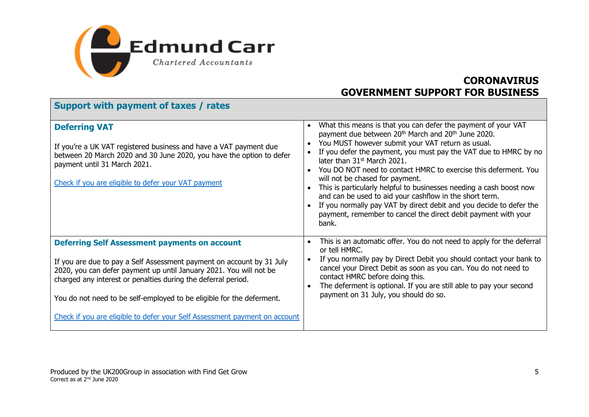

| Support with payment of taxes / rates                                                                                                                                                                                                                                                                                                                                                                                       |                                                                                                                                                                                                                                                                                                                                                                                                                                                                                                                                                                                                                                                                                                           |
|-----------------------------------------------------------------------------------------------------------------------------------------------------------------------------------------------------------------------------------------------------------------------------------------------------------------------------------------------------------------------------------------------------------------------------|-----------------------------------------------------------------------------------------------------------------------------------------------------------------------------------------------------------------------------------------------------------------------------------------------------------------------------------------------------------------------------------------------------------------------------------------------------------------------------------------------------------------------------------------------------------------------------------------------------------------------------------------------------------------------------------------------------------|
| <b>Deferring VAT</b><br>If you're a UK VAT registered business and have a VAT payment due<br>between 20 March 2020 and 30 June 2020, you have the option to defer<br>payment until 31 March 2021.<br>Check if you are eligible to defer your VAT payment                                                                                                                                                                    | What this means is that you can defer the payment of your VAT<br>payment due between 20 <sup>th</sup> March and 20 <sup>th</sup> June 2020.<br>You MUST however submit your VAT return as usual.<br>If you defer the payment, you must pay the VAT due to HMRC by no<br>later than 31 <sup>st</sup> March 2021.<br>You DO NOT need to contact HMRC to exercise this deferment. You<br>will not be chased for payment.<br>This is particularly helpful to businesses needing a cash boost now<br>and can be used to aid your cashflow in the short term.<br>If you normally pay VAT by direct debit and you decide to defer the<br>payment, remember to cancel the direct debit payment with your<br>bank. |
| <b>Deferring Self Assessment payments on account</b><br>If you are due to pay a Self Assessment payment on account by 31 July<br>2020, you can defer payment up until January 2021. You will not be<br>charged any interest or penalties during the deferral period.<br>You do not need to be self-employed to be eligible for the deferment.<br>Check if you are eligible to defer your Self Assessment payment on account | This is an automatic offer. You do not need to apply for the deferral<br>or tell HMRC.<br>If you normally pay by Direct Debit you should contact your bank to<br>cancel your Direct Debit as soon as you can. You do not need to<br>contact HMRC before doing this.<br>The deferment is optional. If you are still able to pay your second<br>payment on 31 July, you should do so.                                                                                                                                                                                                                                                                                                                       |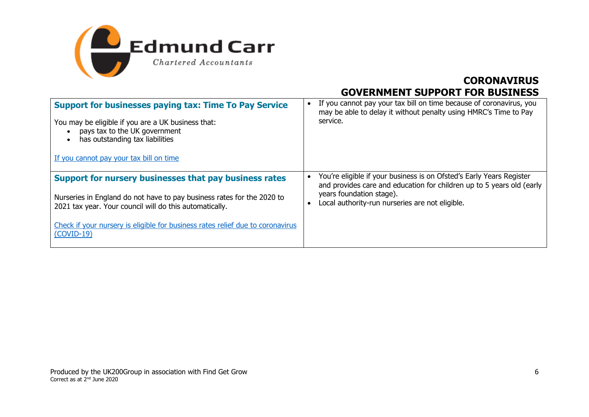

| <b>Support for businesses paying tax: Time To Pay Service</b><br>You may be eligible if you are a UK business that:<br>pays tax to the UK government<br>has outstanding tax liabilities<br>If you cannot pay your tax bill on time                                                            | If you cannot pay your tax bill on time because of coronavirus, you<br>may be able to delay it without penalty using HMRC's Time to Pay<br>service.                                                                          |
|-----------------------------------------------------------------------------------------------------------------------------------------------------------------------------------------------------------------------------------------------------------------------------------------------|------------------------------------------------------------------------------------------------------------------------------------------------------------------------------------------------------------------------------|
| Support for nursery businesses that pay business rates<br>Nurseries in England do not have to pay business rates for the 2020 to<br>2021 tax year. Your council will do this automatically.<br>Check if your nursery is eligible for business rates relief due to coronavirus<br>$(COVID-19)$ | You're eligible if your business is on Ofsted's Early Years Register<br>and provides care and education for children up to 5 years old (early<br>years foundation stage).<br>Local authority-run nurseries are not eligible. |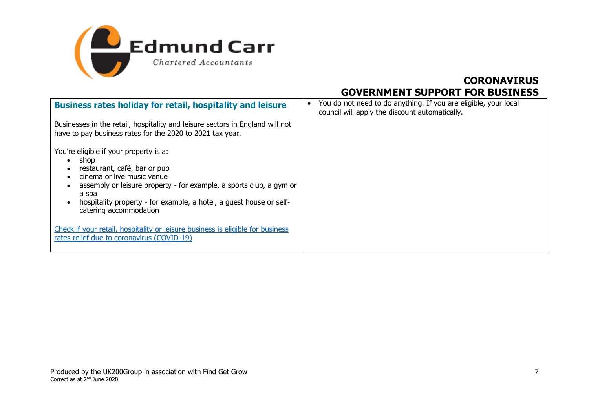

| <b>Business rates holiday for retail, hospitality and leisure</b>                                                                                                                                                                                                                             | You do not need to do anything. If you are eligible, your local<br>council will apply the discount automatically. |
|-----------------------------------------------------------------------------------------------------------------------------------------------------------------------------------------------------------------------------------------------------------------------------------------------|-------------------------------------------------------------------------------------------------------------------|
| Businesses in the retail, hospitality and leisure sectors in England will not<br>have to pay business rates for the 2020 to 2021 tax year.                                                                                                                                                    |                                                                                                                   |
| You're eligible if your property is a:<br>shop<br>restaurant, café, bar or pub<br>cinema or live music venue<br>assembly or leisure property - for example, a sports club, a gym or<br>a spa<br>hospitality property - for example, a hotel, a guest house or self-<br>catering accommodation |                                                                                                                   |
| Check if your retail, hospitality or leisure business is eligible for business<br>rates relief due to coronavirus (COVID-19)                                                                                                                                                                  |                                                                                                                   |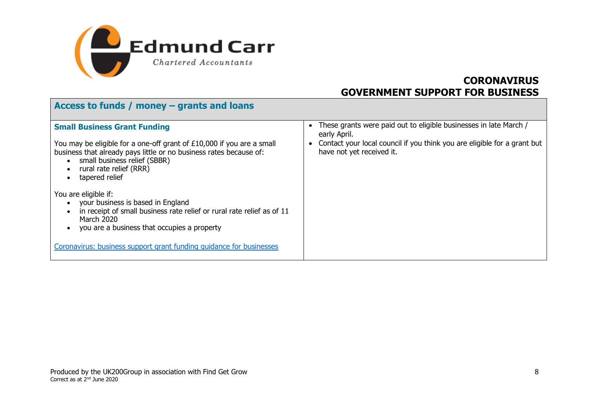

**Access to funds / money – grants and loans**

| $ACcess$ to funds $\mu$ money $-$ grants and ioans                                                                                                                                                                                                                      |                                                                                                                                                                                            |
|-------------------------------------------------------------------------------------------------------------------------------------------------------------------------------------------------------------------------------------------------------------------------|--------------------------------------------------------------------------------------------------------------------------------------------------------------------------------------------|
| <b>Small Business Grant Funding</b><br>You may be eligible for a one-off grant of £10,000 if you are a small<br>business that already pays little or no business rates because of:<br>small business relief (SBBR)<br>rural rate relief (RRR)<br>tapered relief         | These grants were paid out to eligible businesses in late March /<br>early April.<br>Contact your local council if you think you are eligible for a grant but<br>have not yet received it. |
| You are eligible if:<br>your business is based in England<br>in receipt of small business rate relief or rural rate relief as of 11<br>March 2020<br>you are a business that occupies a property<br>Coronavirus: business support grant funding quidance for businesses |                                                                                                                                                                                            |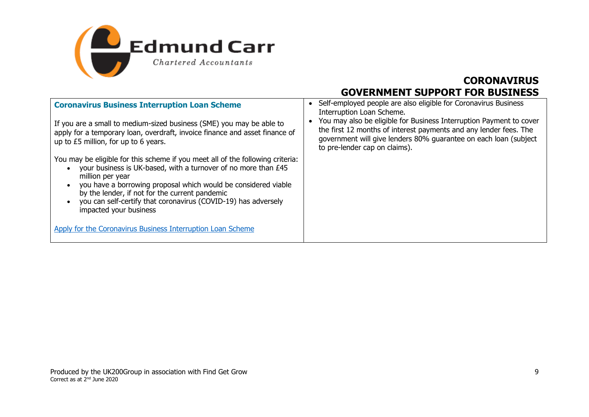

| <b>Coronavirus Business Interruption Loan Scheme</b><br>If you are a small to medium-sized business (SME) you may be able to<br>apply for a temporary loan, overdraft, invoice finance and asset finance of<br>up to £5 million, for up to 6 years.                                                                                                                                                            | Self-employed people are also eligible for Coronavirus Business<br>Interruption Loan Scheme.<br>You may also be eligible for Business Interruption Payment to cover<br>the first 12 months of interest payments and any lender fees. The<br>government will give lenders 80% guarantee on each loan (subject<br>to pre-lender cap on claims). |
|----------------------------------------------------------------------------------------------------------------------------------------------------------------------------------------------------------------------------------------------------------------------------------------------------------------------------------------------------------------------------------------------------------------|-----------------------------------------------------------------------------------------------------------------------------------------------------------------------------------------------------------------------------------------------------------------------------------------------------------------------------------------------|
| You may be eligible for this scheme if you meet all of the following criteria:<br>your business is UK-based, with a turnover of no more than £45<br>million per year<br>you have a borrowing proposal which would be considered viable<br>$\bullet$<br>by the lender, if not for the current pandemic<br>you can self-certify that coronavirus (COVID-19) has adversely<br>$\bullet$<br>impacted your business |                                                                                                                                                                                                                                                                                                                                               |
| Apply for the Coronavirus Business Interruption Loan Scheme                                                                                                                                                                                                                                                                                                                                                    |                                                                                                                                                                                                                                                                                                                                               |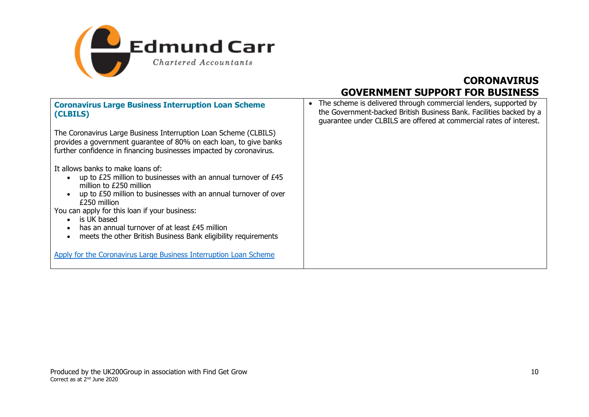

| <b>Coronavirus Large Business Interruption Loan Scheme</b><br>(CLBILS)                                                                                                                                                                                                                                                                                                                                                                                                     | The scheme is delivered through commercial lenders, supported by<br>$\bullet$<br>the Government-backed British Business Bank. Facilities backed by a<br>guarantee under CLBILS are offered at commercial rates of interest. |
|----------------------------------------------------------------------------------------------------------------------------------------------------------------------------------------------------------------------------------------------------------------------------------------------------------------------------------------------------------------------------------------------------------------------------------------------------------------------------|-----------------------------------------------------------------------------------------------------------------------------------------------------------------------------------------------------------------------------|
| The Coronavirus Large Business Interruption Loan Scheme (CLBILS)<br>provides a government guarantee of 80% on each loan, to give banks<br>further confidence in financing businesses impacted by coronavirus.                                                                                                                                                                                                                                                              |                                                                                                                                                                                                                             |
| It allows banks to make loans of:<br>up to £25 million to businesses with an annual turnover of £45<br>million to £250 million<br>up to £50 million to businesses with an annual turnover of over<br>£250 million<br>You can apply for this loan if your business:<br>is UK based<br>has an annual turnover of at least £45 million<br>meets the other British Business Bank eligibility requirements<br>Apply for the Coronavirus Large Business Interruption Loan Scheme |                                                                                                                                                                                                                             |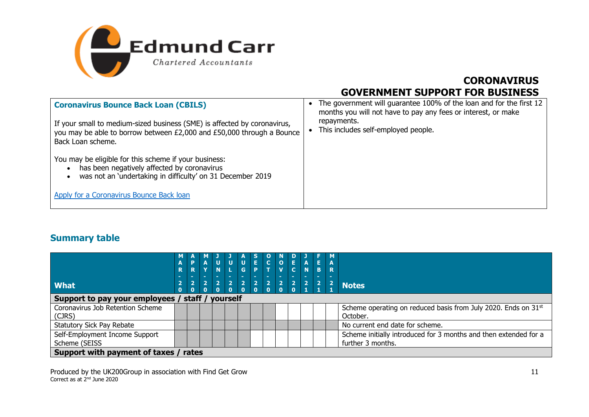

| <b>Coronavirus Bounce Back Loan (CBILS)</b><br>If your small to medium-sized business (SME) is affected by coronavirus,<br>you may be able to borrow between £2,000 and £50,000 through a Bounce<br>Back Loan scheme. | • The government will guarantee 100% of the loan and for the first 12<br>months you will not have to pay any fees or interest, or make<br>repayments.<br>This includes self-employed people. |
|-----------------------------------------------------------------------------------------------------------------------------------------------------------------------------------------------------------------------|----------------------------------------------------------------------------------------------------------------------------------------------------------------------------------------------|
| You may be eligible for this scheme if your business:<br>has been negatively affected by coronavirus<br>was not an 'undertaking in difficulty' on 31 December 2019                                                    |                                                                                                                                                                                              |
| Apply for a Coronavirus Bounce Back loan                                                                                                                                                                              |                                                                                                                                                                                              |

#### **Summary table**

| <b>What</b>                                     | R<br> 2 | Þ<br>$\overline{\mathbf{R}}$<br>$\sqrt{2}$ | $\overline{2}$ | $\frac{1}{N}$<br>$\vert$ 2   | U  <br> | $\frac{1}{6}$<br>$\begin{array}{c c} 2 & 2 \end{array}$ | $\overline{E}$<br>$\begin{array}{ c c c c c c }\n\hline\n2 & 2 & 2 & 2 & 2 \\ 0 & 0 & 0 & 0 & 1\n\end{array}$ | $\overline{c}$ | $\frac{1}{\sqrt{2}}$ | $\left  \frac{\mathbf{E}}{\mathbf{C}} \right $ | $\overline{A}$ | $\mathsf{E}^+$<br>B.<br>$\overline{2}$ | R | Notes                                                                                 |
|-------------------------------------------------|---------|--------------------------------------------|----------------|------------------------------|---------|---------------------------------------------------------|---------------------------------------------------------------------------------------------------------------|----------------|----------------------|------------------------------------------------|----------------|----------------------------------------|---|---------------------------------------------------------------------------------------|
| Support to pay your employees /                 |         |                                            |                | $\Omega$<br>staff / yourself |         |                                                         |                                                                                                               |                |                      |                                                |                |                                        |   |                                                                                       |
| Coronavirus Job Retention Scheme<br>(CJRS)      |         |                                            |                |                              |         |                                                         |                                                                                                               |                |                      |                                                |                |                                        |   | Scheme operating on reduced basis from July 2020. Ends on 31st<br>October.            |
| <b>Statutory Sick Pay Rebate</b>                |         |                                            |                |                              |         |                                                         |                                                                                                               |                |                      |                                                |                |                                        |   | No current end date for scheme.                                                       |
| Self-Employment Income Support<br>Scheme (SEISS |         |                                            |                |                              |         |                                                         |                                                                                                               |                |                      |                                                |                |                                        |   | Scheme initially introduced for 3 months and then extended for a<br>further 3 months. |
| Support with payment of taxes / rates           |         |                                            |                |                              |         |                                                         |                                                                                                               |                |                      |                                                |                |                                        |   |                                                                                       |